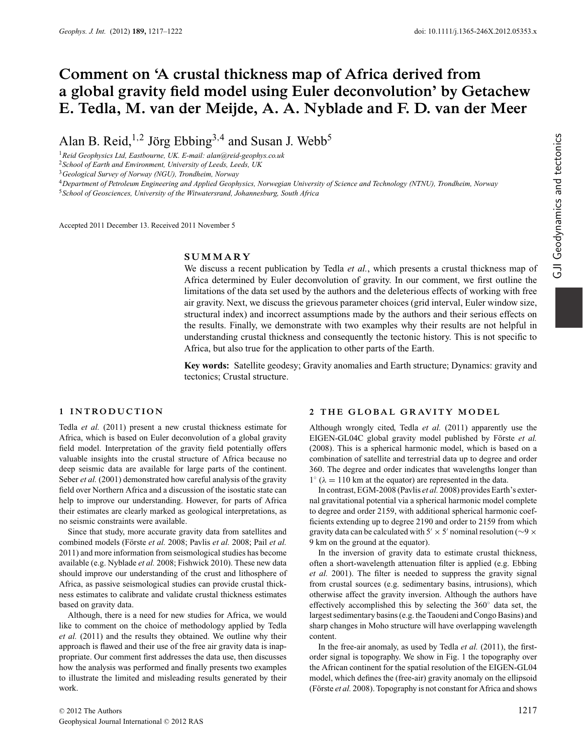# **Comment on 'A crustal thickness map of Africa derived from a global gravity field model using Euler deconvolution' by Getachew E. Tedla, M. van der Meijde, A. A. Nyblade and F. D. van der Meer**

Alan B. Reid,<sup>1,2</sup> Jörg Ebbing<sup>3,4</sup> and Susan J. Webb<sup>5</sup>

<sup>1</sup>*Reid Geophysics Ltd, Eastbourne, UK. E-mail: alan@reid-geophys.co.uk*

<sup>2</sup>*School of Earth and Environment, University of Leeds, Leeds, UK*

<sup>3</sup>*Geological Survey of Norway (NGU), Trondheim, Norway*

<sup>4</sup>*Department of Petroleum Engineering and Applied Geophysics, Norwegian University of Science and Technology (NTNU), Trondheim, Norway*

<sup>5</sup>*School of Geosciences, University of the Witwatersrand, Johannesburg, South Africa*

Accepted 2011 December 13. Received 2011 November 5

## **SUMMARY**

We discuss a recent publication by Tedla *et al.*, which presents a crustal thickness map of Africa determined by Euler deconvolution of gravity. In our comment, we first outline the limitations of the data set used by the authors and the deleterious effects of working with free air gravity. Next, we discuss the grievous parameter choices (grid interval, Euler window size, structural index) and incorrect assumptions made by the authors and their serious effects on the results. Finally, we demonstrate with two examples why their results are not helpful in understanding crustal thickness and consequently the tectonic history. This is not specific to Africa, but also true for the application to other parts of the Earth.

**Key words:** Satellite geodesy; Gravity anomalies and Earth structure; Dynamics: gravity and tectonics; Crustal structure.

## **1 INTRODUCTION**

Tedla *et al.* (2011) present a new crustal thickness estimate for Africa, which is based on Euler deconvolution of a global gravity field model. Interpretation of the gravity field potentially offers valuable insights into the crustal structure of Africa because no deep seismic data are available for large parts of the continent. Seber *et al.* (2001) demonstrated how careful analysis of the gravity field over Northern Africa and a discussion of the isostatic state can help to improve our understanding. However, for parts of Africa their estimates are clearly marked as geological interpretations, as no seismic constraints were available.

Since that study, more accurate gravity data from satellites and combined models (Förste et al. 2008; Pavlis et al. 2008; Pail et al. 2011) and more information from seismological studies has become available (e.g. Nyblade *et al.* 2008; Fishwick 2010). These new data should improve our understanding of the crust and lithosphere of Africa, as passive seismological studies can provide crustal thickness estimates to calibrate and validate crustal thickness estimates based on gravity data.

Although, there is a need for new studies for Africa, we would like to comment on the choice of methodology applied by Tedla *et al.* (2011) and the results they obtained. We outline why their approach is flawed and their use of the free air gravity data is inappropriate. Our comment first addresses the data use, then discusses how the analysis was performed and finally presents two examples to illustrate the limited and misleading results generated by their work.

#### 2 THE GLOBAL GRAVITY MODEL

Although wrongly cited, Tedla *et al.* (2011) apparently use the EIGEN-GL04C global gravity model published by Förste et al. (2008). This is a spherical harmonic model, which is based on a combination of satellite and terrestrial data up to degree and order 360. The degree and order indicates that wavelengths longer than  $1° (\lambda = 110 \text{ km at the equator})$  are represented in the data.

In contrast, EGM-2008 (Pavlis *et al.* 2008) provides Earth's external gravitational potential via a spherical harmonic model complete to degree and order 2159, with additional spherical harmonic coefficients extending up to degree 2190 and order to 2159 from which gravity data can be calculated with 5'  $\times$  5' nominal resolution ( $\sim$ 9  $\times$ 9 km on the ground at the equator).

In the inversion of gravity data to estimate crustal thickness, often a short-wavelength attenuation filter is applied (e.g. Ebbing *et al.* 2001). The filter is needed to suppress the gravity signal from crustal sources (e.g. sedimentary basins, intrusions), which otherwise affect the gravity inversion. Although the authors have effectively accomplished this by selecting the 360◦ data set, the largest sedimentary basins (e.g. the Taoudeni and Congo Basins) and sharp changes in Moho structure will have overlapping wavelength content.

In the free-air anomaly, as used by Tedla *et al.* (2011), the firstorder signal is topography. We show in Fig. 1 the topography over the African continent for the spatial resolution of the EIGEN-GL04 model, which defines the (free-air) gravity anomaly on the ellipsoid (Förste *et al.* 2008). Topography is not constant for Africa and shows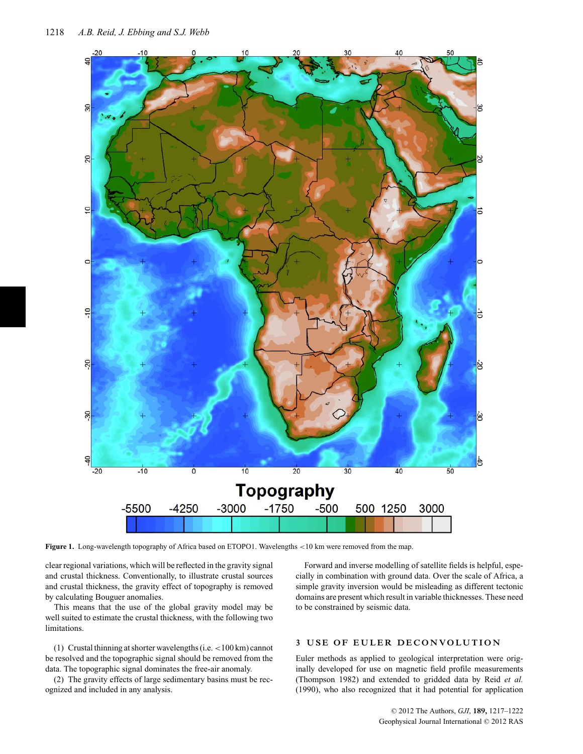

**Figure 1.** Long-wavelength topography of Africa based on ETOPO1. Wavelengths <10 km were removed from the map.

clear regional variations, which will be reflected in the gravity signal and crustal thickness. Conventionally, to illustrate crustal sources and crustal thickness, the gravity effect of topography is removed by calculating Bouguer anomalies.

This means that the use of the global gravity model may be well suited to estimate the crustal thickness, with the following two limitations.

(1) Crustal thinning at shorter wavelengths (i.e.<100 km) cannot be resolved and the topographic signal should be removed from the data. The topographic signal dominates the free-air anomaly.

(2) The gravity effects of large sedimentary basins must be recognized and included in any analysis.

Forward and inverse modelling of satellite fields is helpful, especially in combination with ground data. Over the scale of Africa, a simple gravity inversion would be misleading as different tectonic domains are present which result in variable thicknesses. These need to be constrained by seismic data.

## **3 USE OF EULER DECONVOLUTION**

Euler methods as applied to geological interpretation were originally developed for use on magnetic field profile measurements (Thompson 1982) and extended to gridded data by Reid *et al.* (1990), who also recognized that it had potential for application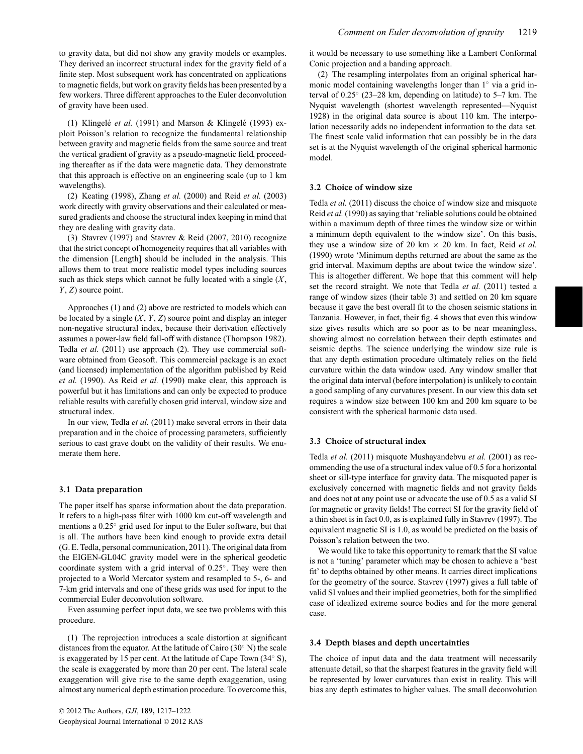to gravity data, but did not show any gravity models or examples. They derived an incorrect structural index for the gravity field of a finite step. Most subsequent work has concentrated on applications to magnetic fields, but work on gravity fields has been presented by a few workers. Three different approaches to the Euler deconvolution of gravity have been used.

(1) Klingelé *et al.* (1991) and Marson & Klingelé (1993) exploit Poisson's relation to recognize the fundamental relationship between gravity and magnetic fields from the same source and treat the vertical gradient of gravity as a pseudo-magnetic field, proceeding thereafter as if the data were magnetic data. They demonstrate that this approach is effective on an engineering scale (up to 1 km wavelengths).

(2) Keating (1998), Zhang *et al.* (2000) and Reid *et al.* (2003) work directly with gravity observations and their calculated or measured gradients and choose the structural index keeping in mind that they are dealing with gravity data.

(3) Stavrev (1997) and Stavrev & Reid (2007, 2010) recognize that the strict concept of homogeneity requires that all variables with the dimension [Length] should be included in the analysis. This allows them to treat more realistic model types including sources such as thick steps which cannot be fully located with a single (*X*, *Y*, *Z*) source point.

Approaches (1) and (2) above are restricted to models which can be located by a single (*X*, *Y*, *Z*) source point and display an integer non-negative structural index, because their derivation effectively assumes a power-law field fall-off with distance (Thompson 1982). Tedla *et al.* (2011) use approach (2). They use commercial software obtained from Geosoft. This commercial package is an exact (and licensed) implementation of the algorithm published by Reid *et al.* (1990). As Reid *et al.* (1990) make clear, this approach is powerful but it has limitations and can only be expected to produce reliable results with carefully chosen grid interval, window size and structural index.

In our view, Tedla *et al.* (2011) make several errors in their data preparation and in the choice of processing parameters, sufficiently serious to cast grave doubt on the validity of their results. We enumerate them here.

#### **3.1 Data preparation**

The paper itself has sparse information about the data preparation. It refers to a high-pass filter with 1000 km cut-off wavelength and mentions a 0.25◦ grid used for input to the Euler software, but that is all. The authors have been kind enough to provide extra detail (G. E. Tedla, personal communication, 2011). The original data from the EIGEN-GL04C gravity model were in the spherical geodetic coordinate system with a grid interval of 0.25◦. They were then projected to a World Mercator system and resampled to 5-, 6- and 7-km grid intervals and one of these grids was used for input to the commercial Euler deconvolution software.

Even assuming perfect input data, we see two problems with this procedure.

(1) The reprojection introduces a scale distortion at significant distances from the equator. At the latitude of Cairo (30◦ N) the scale is exaggerated by 15 per cent. At the latitude of Cape Town (34◦ S), the scale is exaggerated by more than 20 per cent. The lateral scale exaggeration will give rise to the same depth exaggeration, using almost any numerical depth estimation procedure. To overcome this, it would be necessary to use something like a Lambert Conformal Conic projection and a banding approach.

(2) The resampling interpolates from an original spherical harmonic model containing wavelengths longer than 1◦ via a grid interval of 0.25◦ (23–28 km, depending on latitude) to 5–7 km. The Nyquist wavelength (shortest wavelength represented—Nyquist 1928) in the original data source is about 110 km. The interpolation necessarily adds no independent information to the data set. The finest scale valid information that can possibly be in the data set is at the Nyquist wavelength of the original spherical harmonic model.

## **3.2 Choice of window size**

Tedla *et al.* (2011) discuss the choice of window size and misquote Reid *et al.* (1990) as saying that 'reliable solutions could be obtained within a maximum depth of three times the window size or within a minimum depth equivalent to the window size'. On this basis, they use a window size of 20 km  $\times$  20 km. In fact, Reid *et al.* (1990) wrote 'Minimum depths returned are about the same as the grid interval. Maximum depths are about twice the window size'. This is altogether different. We hope that this comment will help set the record straight. We note that Tedla *et al.* (2011) tested a range of window sizes (their table 3) and settled on 20 km square because it gave the best overall fit to the chosen seismic stations in Tanzania. However, in fact, their fig. 4 shows that even this window size gives results which are so poor as to be near meaningless, showing almost no correlation between their depth estimates and seismic depths. The science underlying the window size rule is that any depth estimation procedure ultimately relies on the field curvature within the data window used. Any window smaller that the original data interval (before interpolation) is unlikely to contain a good sampling of any curvatures present. In our view this data set requires a window size between 100 km and 200 km square to be consistent with the spherical harmonic data used.

#### **3.3 Choice of structural index**

Tedla *et al.* (2011) misquote Mushayandebvu *et al.* (2001) as recommending the use of a structural index value of 0.5 for a horizontal sheet or sill-type interface for gravity data. The misquoted paper is exclusively concerned with magnetic fields and not gravity fields and does not at any point use or advocate the use of 0.5 as a valid SI for magnetic or gravity fields! The correct SI for the gravity field of a thin sheet is in fact 0.0, as is explained fully in Stavrev (1997). The equivalent magnetic SI is 1.0, as would be predicted on the basis of Poisson's relation between the two.

We would like to take this opportunity to remark that the SI value is not a 'tuning' parameter which may be chosen to achieve a 'best fit' to depths obtained by other means. It carries direct implications for the geometry of the source. Stavrev (1997) gives a full table of valid SI values and their implied geometries, both for the simplified case of idealized extreme source bodies and for the more general case.

### **3.4 Depth biases and depth uncertainties**

The choice of input data and the data treatment will necessarily attenuate detail, so that the sharpest features in the gravity field will be represented by lower curvatures than exist in reality. This will bias any depth estimates to higher values. The small deconvolution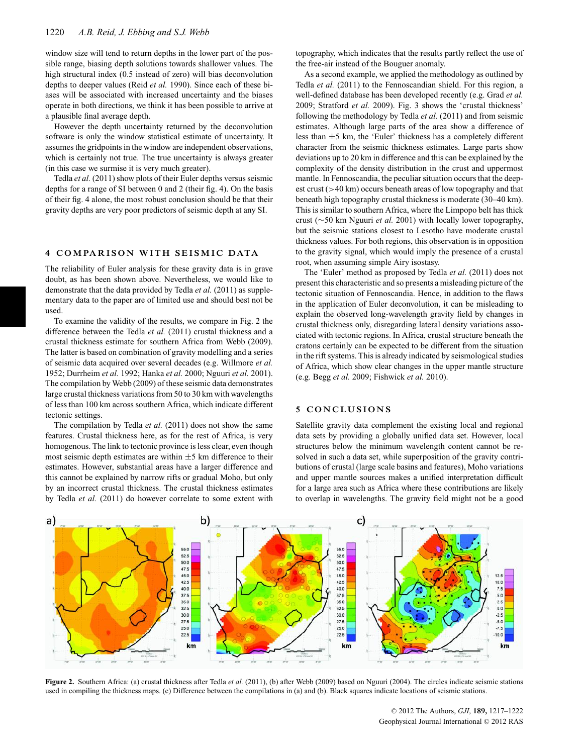window size will tend to return depths in the lower part of the possible range, biasing depth solutions towards shallower values. The high structural index (0.5 instead of zero) will bias deconvolution depths to deeper values (Reid *et al.* 1990). Since each of these biases will be associated with increased uncertainty and the biases operate in both directions, we think it has been possible to arrive at a plausible final average depth.

However the depth uncertainty returned by the deconvolution software is only the window statistical estimate of uncertainty. It assumes the gridpoints in the window are independent observations, which is certainly not true. The true uncertainty is always greater (in this case we surmise it is very much greater).

Tedla *et al.* (2011) show plots of their Euler depths versus seismic depths for a range of SI between 0 and 2 (their fig. 4). On the basis of their fig. 4 alone, the most robust conclusion should be that their gravity depths are very poor predictors of seismic depth at any SI.

#### **4 COMPARISON WITH SEISMIC DATA**

The reliability of Euler analysis for these gravity data is in grave doubt, as has been shown above. Nevertheless, we would like to demonstrate that the data provided by Tedla et al. (2011) as supplementary data to the paper are of limited use and should best not be used.

To examine the validity of the results, we compare in Fig. 2 the difference between the Tedla *et al.* (2011) crustal thickness and a crustal thickness estimate for southern Africa from Webb (2009). The latter is based on combination of gravity modelling and a series of seismic data acquired over several decades (e.g. Willmore *et al.* 1952; Durrheim *et al.* 1992; Hanka *et al.* 2000; Nguuri *et al.* 2001). The compilation by Webb (2009) of these seismic data demonstrates large crustal thickness variations from 50 to 30 km with wavelengths of less than 100 km across southern Africa, which indicate different tectonic settings.

The compilation by Tedla *et al.* (2011) does not show the same features. Crustal thickness here, as for the rest of Africa, is very homogenous. The link to tectonic province is less clear, even though most seismic depth estimates are within  $\pm 5$  km difference to their estimates. However, substantial areas have a larger difference and this cannot be explained by narrow rifts or gradual Moho, but only by an incorrect crustal thickness. The crustal thickness estimates by Tedla *et al.* (2011) do however correlate to some extent with topography, which indicates that the results partly reflect the use of the free-air instead of the Bouguer anomaly.

As a second example, we applied the methodology as outlined by Tedla *et al.* (2011) to the Fennoscandian shield. For this region, a well-defined database has been developed recently (e.g. Grad *et al.* 2009; Stratford *et al.* 2009). Fig. 3 shows the 'crustal thickness' following the methodology by Tedla *et al.* (2011) and from seismic estimates. Although large parts of the area show a difference of less than ±5 km, the 'Euler' thickness has a completely different character from the seismic thickness estimates. Large parts show deviations up to 20 km in difference and this can be explained by the complexity of the density distribution in the crust and uppermost mantle. In Fennoscandia, the peculiar situation occurs that the deepest crust (>40 km) occurs beneath areas of low topography and that beneath high topography crustal thickness is moderate (30–40 km). This is similar to southern Africa, where the Limpopo belt has thick crust (∼50 km Nguuri *et al.* 2001) with locally lower topography, but the seismic stations closest to Lesotho have moderate crustal thickness values. For both regions, this observation is in opposition to the gravity signal, which would imply the presence of a crustal root, when assuming simple Airy isostasy.

The 'Euler' method as proposed by Tedla *et al.* (2011) does not present this characteristic and so presents a misleading picture of the tectonic situation of Fennoscandia. Hence, in addition to the flaws in the application of Euler deconvolution, it can be misleading to explain the observed long-wavelength gravity field by changes in crustal thickness only, disregarding lateral density variations associated with tectonic regions. In Africa, crustal structure beneath the cratons certainly can be expected to be different from the situation in the rift systems. This is already indicated by seismological studies of Africa, which show clear changes in the upper mantle structure (e.g. Begg *et al.* 2009; Fishwick *et al.* 2010).

## **5 CONCLUSIONS**

Satellite gravity data complement the existing local and regional data sets by providing a globally unified data set. However, local structures below the minimum wavelength content cannot be resolved in such a data set, while superposition of the gravity contributions of crustal (large scale basins and features), Moho variations and upper mantle sources makes a unified interpretation difficult for a large area such as Africa where these contributions are likely to overlap in wavelengths. The gravity field might not be a good



**Figure 2.** Southern Africa: (a) crustal thickness after Tedla *et al.* (2011), (b) after Webb (2009) based on Nguuri (2004). The circles indicate seismic stations used in compiling the thickness maps. (c) Difference between the compilations in (a) and (b). Black squares indicate locations of seismic stations.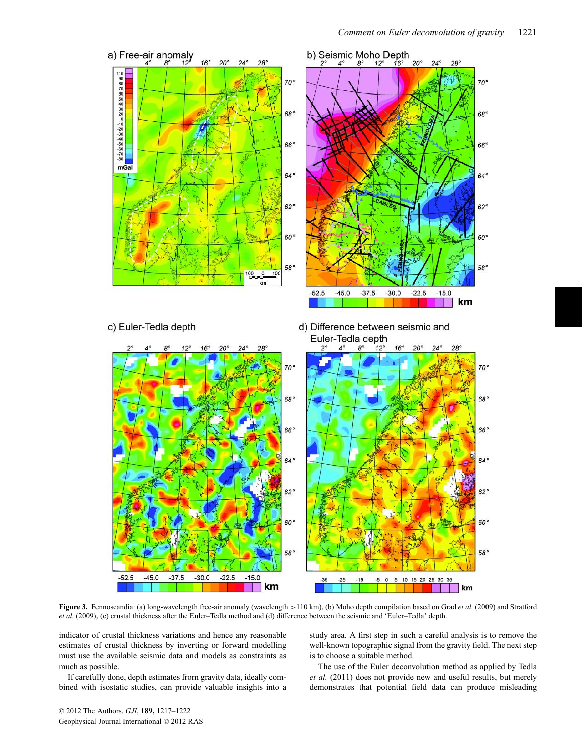

**Figure 3.** Fennoscandia: (a) long-wavelength free-air anomaly (wavelength >110 km), (b) Moho depth compilation based on Grad *et al.* (2009) and Stratford *et al.* (2009), (c) crustal thickness after the Euler–Tedla method and (d) difference between the seismic and 'Euler–Tedla' depth.

indicator of crustal thickness variations and hence any reasonable estimates of crustal thickness by inverting or forward modelling must use the available seismic data and models as constraints as much as possible.

If carefully done, depth estimates from gravity data, ideally combined with isostatic studies, can provide valuable insights into a study area. A first step in such a careful analysis is to remove the well-known topographic signal from the gravity field. The next step is to choose a suitable method.

The use of the Euler deconvolution method as applied by Tedla *et al.* (2011) does not provide new and useful results, but merely demonstrates that potential field data can produce misleading